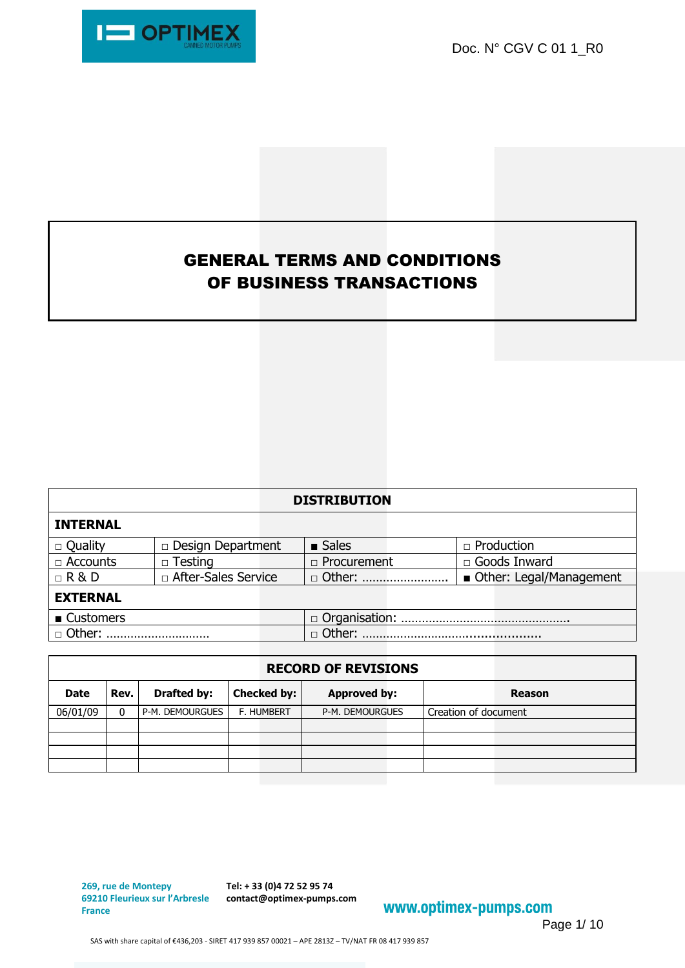Doc. N° CGV C 01 1\_R0



# GENERAL TERMS AND CONDITIONS OF BUSINESS TRANSACTIONS

| <b>DISTRIBUTION</b> |                          |  |                      |                         |  |  |  |  |
|---------------------|--------------------------|--|----------------------|-------------------------|--|--|--|--|
| <b>INTERNAL</b>     |                          |  |                      |                         |  |  |  |  |
| $\Box$ Quality      | $\Box$ Design Department |  | $\blacksquare$ Sales | $\Box$ Production       |  |  |  |  |
| $\Box$ Accounts     | $\Box$ Testing           |  | □ Procurement        | □ Goods Inward          |  |  |  |  |
| $\Box$ R & D        | □ After-Sales Service    |  | $\Box$ Other:        | Other: Legal/Management |  |  |  |  |
| <b>EXTERNAL</b>     |                          |  |                      |                         |  |  |  |  |
| ■ Customers         |                          |  |                      |                         |  |  |  |  |
| Other:              |                          |  | $\Box$ Other:        |                         |  |  |  |  |

| <b>RECORD OF REVISIONS</b> |          |                    |                    |                     |                      |  |  |  |
|----------------------------|----------|--------------------|--------------------|---------------------|----------------------|--|--|--|
| <b>Date</b>                | Rev.     | <b>Drafted by:</b> | <b>Checked by:</b> | <b>Approved by:</b> | <b>Reason</b>        |  |  |  |
| 06/01/09                   | $\Omega$ | P-M. DEMOURGUES    | <b>F. HUMBERT</b>  | P-M. DEMOURGUES     | Creation of document |  |  |  |
|                            |          |                    |                    |                     |                      |  |  |  |
|                            |          |                    |                    |                     |                      |  |  |  |
|                            |          |                    |                    |                     |                      |  |  |  |
|                            |          |                    |                    |                     |                      |  |  |  |

**269, rue de Montepy France**

**69210 Fleurieux sur l'Arbresle contact@optimex-pumps.com Tel: + 33 (0)4 72 52 95 74**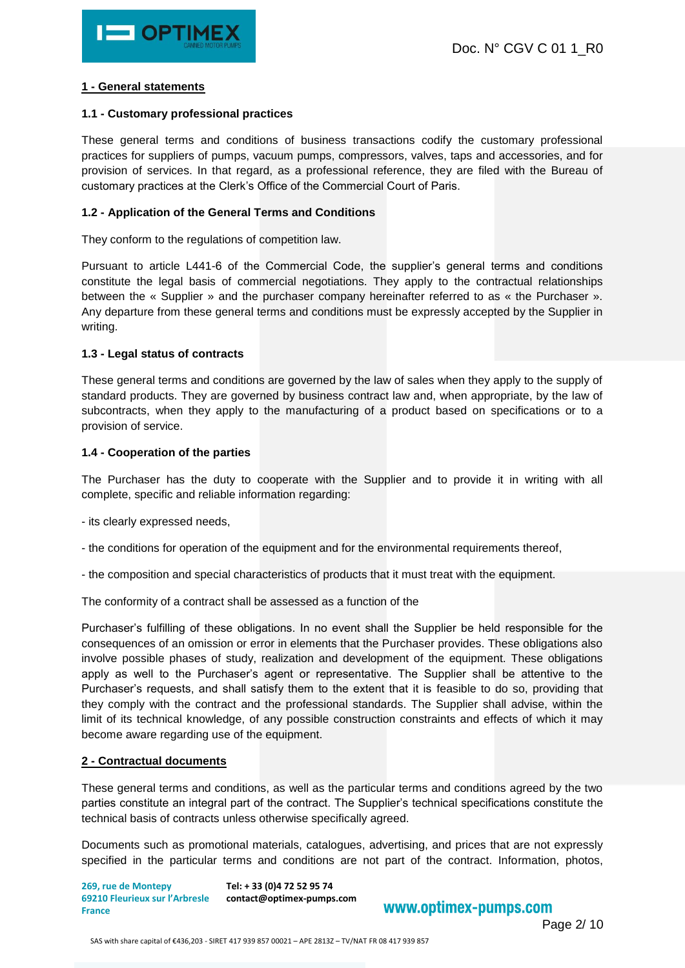# **1 - General statements**

### **1.1 - Customary professional practices**

These general terms and conditions of business transactions codify the customary professional practices for suppliers of pumps, vacuum pumps, compressors, valves, taps and accessories, and for provision of services. In that regard, as a professional reference, they are filed with the Bureau of customary practices at the Clerk's Office of the Commercial Court of Paris.

# **1.2 - Application of the General Terms and Conditions**

They conform to the regulations of competition law.

Pursuant to article L441-6 of the Commercial Code, the supplier's general terms and conditions constitute the legal basis of commercial negotiations. They apply to the contractual relationships between the « Supplier » and the purchaser company hereinafter referred to as « the Purchaser ». Any departure from these general terms and conditions must be expressly accepted by the Supplier in writing.

## **1.3 - Legal status of contracts**

These general terms and conditions are governed by the law of sales when they apply to the supply of standard products. They are governed by business contract law and, when appropriate, by the law of subcontracts, when they apply to the manufacturing of a product based on specifications or to a provision of service.

## **1.4 - Cooperation of the parties**

The Purchaser has the duty to cooperate with the Supplier and to provide it in writing with all complete, specific and reliable information regarding:

- its clearly expressed needs,
- the conditions for operation of the equipment and for the environmental requirements thereof,
- the composition and special characteristics of products that it must treat with the equipment.

The conformity of a contract shall be assessed as a function of the

Purchaser's fulfilling of these obligations. In no event shall the Supplier be held responsible for the consequences of an omission or error in elements that the Purchaser provides. These obligations also involve possible phases of study, realization and development of the equipment. These obligations apply as well to the Purchaser's agent or representative. The Supplier shall be attentive to the Purchaser's requests, and shall satisfy them to the extent that it is feasible to do so, providing that they comply with the contract and the professional standards. The Supplier shall advise, within the limit of its technical knowledge, of any possible construction constraints and effects of which it may become aware regarding use of the equipment.

# **2 - Contractual documents**

These general terms and conditions, as well as the particular terms and conditions agreed by the two parties constitute an integral part of the contract. The Supplier's technical specifications constitute the technical basis of contracts unless otherwise specifically agreed.

Documents such as promotional materials, catalogues, advertising, and prices that are not expressly specified in the particular terms and conditions are not part of the contract. Information, photos,

**269, rue de Montepy 69210 Fleurieux sur l'Arbresle contact@optimex-pumps.com France Tel: + 33 (0)4 72 52 95 74**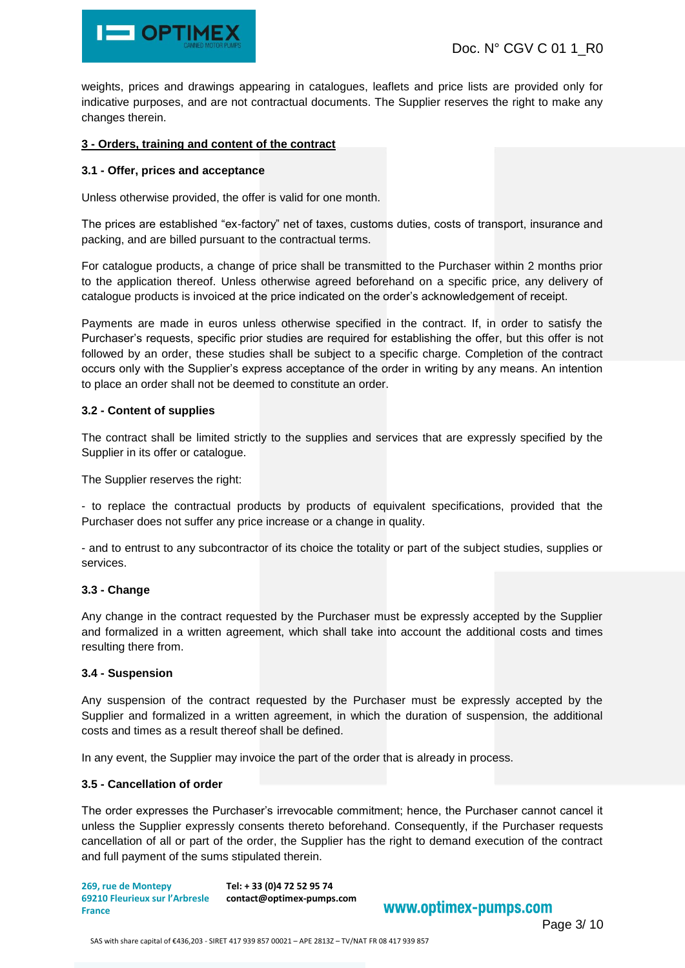

weights, prices and drawings appearing in catalogues, leaflets and price lists are provided only for indicative purposes, and are not contractual documents. The Supplier reserves the right to make any changes therein.

# **3 - Orders, training and content of the contract**

## **3.1 - Offer, prices and acceptance**

Unless otherwise provided, the offer is valid for one month.

The prices are established "ex-factory" net of taxes, customs duties, costs of transport, insurance and packing, and are billed pursuant to the contractual terms.

For catalogue products, a change of price shall be transmitted to the Purchaser within 2 months prior to the application thereof. Unless otherwise agreed beforehand on a specific price, any delivery of catalogue products is invoiced at the price indicated on the order's acknowledgement of receipt.

Payments are made in euros unless otherwise specified in the contract. If, in order to satisfy the Purchaser's requests, specific prior studies are required for establishing the offer, but this offer is not followed by an order, these studies shall be subject to a specific charge. Completion of the contract occurs only with the Supplier's express acceptance of the order in writing by any means. An intention to place an order shall not be deemed to constitute an order.

## **3.2 - Content of supplies**

The contract shall be limited strictly to the supplies and services that are expressly specified by the Supplier in its offer or catalogue.

The Supplier reserves the right:

- to replace the contractual products by products of equivalent specifications, provided that the Purchaser does not suffer any price increase or a change in quality.

- and to entrust to any subcontractor of its choice the totality or part of the subject studies, supplies or services.

#### **3.3 - Change**

Any change in the contract requested by the Purchaser must be expressly accepted by the Supplier and formalized in a written agreement, which shall take into account the additional costs and times resulting there from.

#### **3.4 - Suspension**

Any suspension of the contract requested by the Purchaser must be expressly accepted by the Supplier and formalized in a written agreement, in which the duration of suspension, the additional costs and times as a result thereof shall be defined.

In any event, the Supplier may invoice the part of the order that is already in process.

#### **3.5 - Cancellation of order**

The order expresses the Purchaser's irrevocable commitment; hence, the Purchaser cannot cancel it unless the Supplier expressly consents thereto beforehand. Consequently, if the Purchaser requests cancellation of all or part of the order, the Supplier has the right to demand execution of the contract and full payment of the sums stipulated therein.

**269, rue de Montepy 69210 Fleurieux sur l'Arbresle contact@optimex-pumps.com France Tel: + 33 (0)4 72 52 95 74**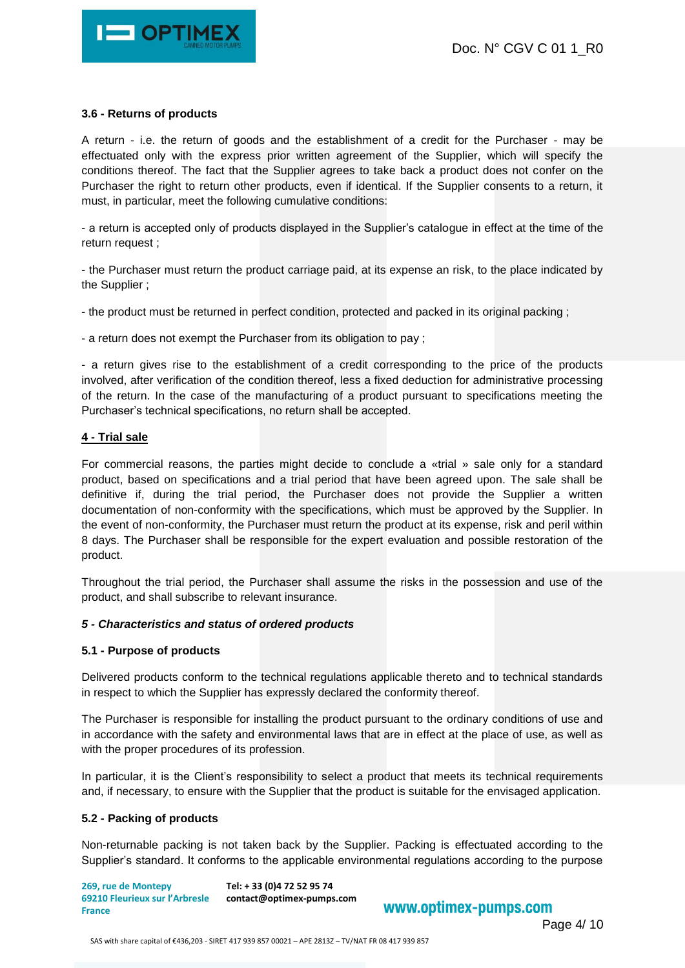

# **3.6 - Returns of products**

A return - i.e. the return of goods and the establishment of a credit for the Purchaser - may be effectuated only with the express prior written agreement of the Supplier, which will specify the conditions thereof. The fact that the Supplier agrees to take back a product does not confer on the Purchaser the right to return other products, even if identical. If the Supplier consents to a return, it must, in particular, meet the following cumulative conditions:

- a return is accepted only of products displayed in the Supplier's catalogue in effect at the time of the return request ;

- the Purchaser must return the product carriage paid, at its expense an risk, to the place indicated by the Supplier ;

- the product must be returned in perfect condition, protected and packed in its original packing ;

- a return does not exempt the Purchaser from its obligation to pay ;

- a return gives rise to the establishment of a credit corresponding to the price of the products involved, after verification of the condition thereof, less a fixed deduction for administrative processing of the return. In the case of the manufacturing of a product pursuant to specifications meeting the Purchaser's technical specifications, no return shall be accepted.

## **4 - Trial sale**

For commercial reasons, the parties might decide to conclude a «trial » sale only for a standard product, based on specifications and a trial period that have been agreed upon. The sale shall be definitive if, during the trial period, the Purchaser does not provide the Supplier a written documentation of non-conformity with the specifications, which must be approved by the Supplier. In the event of non-conformity, the Purchaser must return the product at its expense, risk and peril within 8 days. The Purchaser shall be responsible for the expert evaluation and possible restoration of the product.

Throughout the trial period, the Purchaser shall assume the risks in the possession and use of the product, and shall subscribe to relevant insurance.

#### *5 - Characteristics and status of ordered products*

#### **5.1 - Purpose of products**

Delivered products conform to the technical regulations applicable thereto and to technical standards in respect to which the Supplier has expressly declared the conformity thereof.

The Purchaser is responsible for installing the product pursuant to the ordinary conditions of use and in accordance with the safety and environmental laws that are in effect at the place of use, as well as with the proper procedures of its profession.

In particular, it is the Client's responsibility to select a product that meets its technical requirements and, if necessary, to ensure with the Supplier that the product is suitable for the envisaged application.

#### **5.2 - Packing of products**

Non-returnable packing is not taken back by the Supplier. Packing is effectuated according to the Supplier's standard. It conforms to the applicable environmental regulations according to the purpose

**269, rue de Montepy 69210 Fleurieux sur l'Arbresle contact@optimex-pumps.com France Tel: + 33 (0)4 72 52 95 74**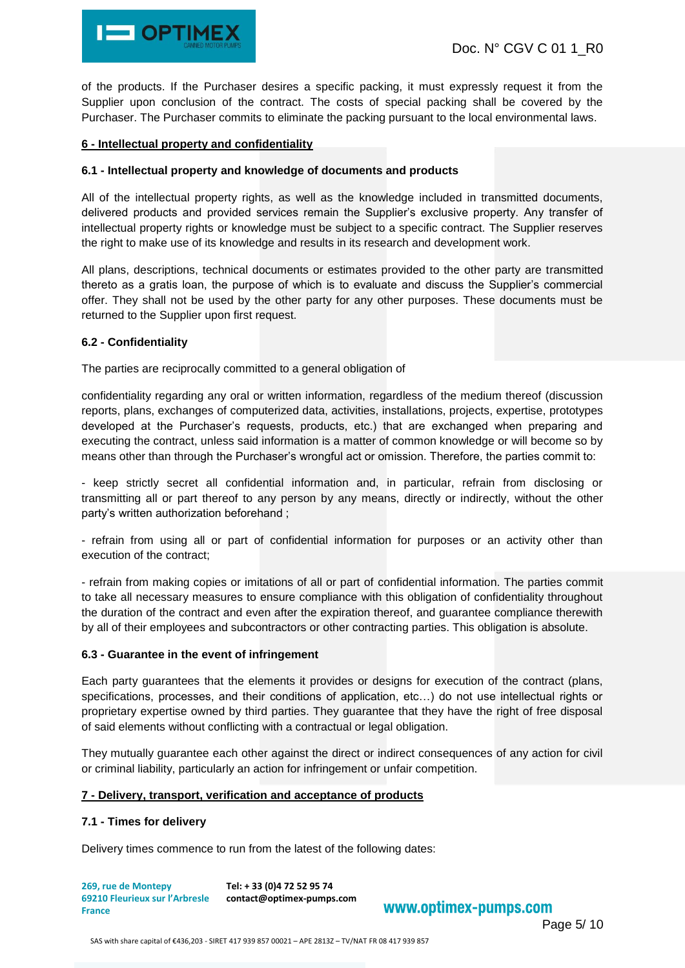

of the products. If the Purchaser desires a specific packing, it must expressly request it from the Supplier upon conclusion of the contract. The costs of special packing shall be covered by the Purchaser. The Purchaser commits to eliminate the packing pursuant to the local environmental laws.

# **6 - Intellectual property and confidentiality**

# **6.1 - Intellectual property and knowledge of documents and products**

All of the intellectual property rights, as well as the knowledge included in transmitted documents, delivered products and provided services remain the Supplier's exclusive property. Any transfer of intellectual property rights or knowledge must be subject to a specific contract. The Supplier reserves the right to make use of its knowledge and results in its research and development work.

All plans, descriptions, technical documents or estimates provided to the other party are transmitted thereto as a gratis loan, the purpose of which is to evaluate and discuss the Supplier's commercial offer. They shall not be used by the other party for any other purposes. These documents must be returned to the Supplier upon first request.

## **6.2 - Confidentiality**

The parties are reciprocally committed to a general obligation of

confidentiality regarding any oral or written information, regardless of the medium thereof (discussion reports, plans, exchanges of computerized data, activities, installations, projects, expertise, prototypes developed at the Purchaser's requests, products, etc.) that are exchanged when preparing and executing the contract, unless said information is a matter of common knowledge or will become so by means other than through the Purchaser's wrongful act or omission. Therefore, the parties commit to:

- keep strictly secret all confidential information and, in particular, refrain from disclosing or transmitting all or part thereof to any person by any means, directly or indirectly, without the other party's written authorization beforehand ;

- refrain from using all or part of confidential information for purposes or an activity other than execution of the contract;

- refrain from making copies or imitations of all or part of confidential information. The parties commit to take all necessary measures to ensure compliance with this obligation of confidentiality throughout the duration of the contract and even after the expiration thereof, and guarantee compliance therewith by all of their employees and subcontractors or other contracting parties. This obligation is absolute.

# **6.3 - Guarantee in the event of infringement**

Each party guarantees that the elements it provides or designs for execution of the contract (plans, specifications, processes, and their conditions of application, etc…) do not use intellectual rights or proprietary expertise owned by third parties. They guarantee that they have the right of free disposal of said elements without conflicting with a contractual or legal obligation.

They mutually guarantee each other against the direct or indirect consequences of any action for civil or criminal liability, particularly an action for infringement or unfair competition.

#### **7 - Delivery, transport, verification and acceptance of products**

#### **7.1 - Times for delivery**

Delivery times commence to run from the latest of the following dates:

**269, rue de Montepy 69210 Fleurieux sur l'Arbresle contact@optimex-pumps.com France Tel: + 33 (0)4 72 52 95 74**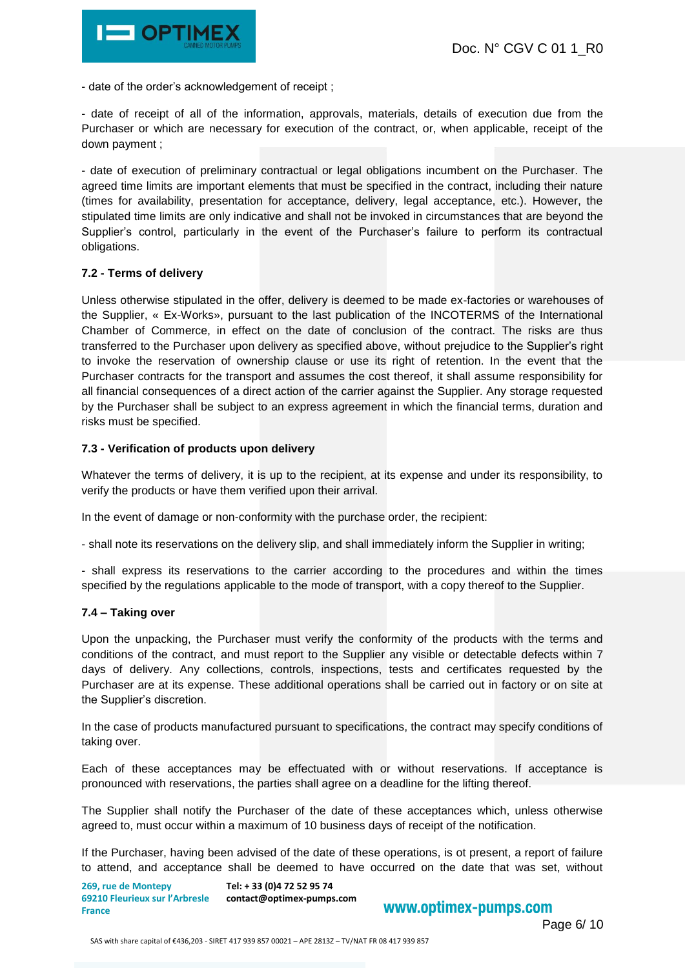

- date of the order's acknowledgement of receipt ;

- date of receipt of all of the information, approvals, materials, details of execution due from the Purchaser or which are necessary for execution of the contract, or, when applicable, receipt of the down payment ;

- date of execution of preliminary contractual or legal obligations incumbent on the Purchaser. The agreed time limits are important elements that must be specified in the contract, including their nature (times for availability, presentation for acceptance, delivery, legal acceptance, etc.). However, the stipulated time limits are only indicative and shall not be invoked in circumstances that are beyond the Supplier's control, particularly in the event of the Purchaser's failure to perform its contractual obligations.

#### **7.2 - Terms of delivery**

Unless otherwise stipulated in the offer, delivery is deemed to be made ex-factories or warehouses of the Supplier, « Ex-Works», pursuant to the last publication of the INCOTERMS of the International Chamber of Commerce, in effect on the date of conclusion of the contract. The risks are thus transferred to the Purchaser upon delivery as specified above, without prejudice to the Supplier's right to invoke the reservation of ownership clause or use its right of retention. In the event that the Purchaser contracts for the transport and assumes the cost thereof, it shall assume responsibility for all financial consequences of a direct action of the carrier against the Supplier. Any storage requested by the Purchaser shall be subject to an express agreement in which the financial terms, duration and risks must be specified.

## **7.3 - Verification of products upon delivery**

Whatever the terms of delivery, it is up to the recipient, at its expense and under its responsibility, to verify the products or have them verified upon their arrival.

In the event of damage or non-conformity with the purchase order, the recipient:

- shall note its reservations on the delivery slip, and shall immediately inform the Supplier in writing;

- shall express its reservations to the carrier according to the procedures and within the times specified by the regulations applicable to the mode of transport, with a copy thereof to the Supplier.

#### **7.4 – Taking over**

Upon the unpacking, the Purchaser must verify the conformity of the products with the terms and conditions of the contract, and must report to the Supplier any visible or detectable defects within 7 days of delivery. Any collections, controls, inspections, tests and certificates requested by the Purchaser are at its expense. These additional operations shall be carried out in factory or on site at the Supplier's discretion.

In the case of products manufactured pursuant to specifications, the contract may specify conditions of taking over.

Each of these acceptances may be effectuated with or without reservations. If acceptance is pronounced with reservations, the parties shall agree on a deadline for the lifting thereof.

The Supplier shall notify the Purchaser of the date of these acceptances which, unless otherwise agreed to, must occur within a maximum of 10 business days of receipt of the notification.

If the Purchaser, having been advised of the date of these operations, is ot present, a report of failure to attend, and acceptance shall be deemed to have occurred on the date that was set, without

**269, rue de Montepy 69210 Fleurieux sur l'Arbresle contact@optimex-pumps.com France Tel: + 33 (0)4 72 52 95 74**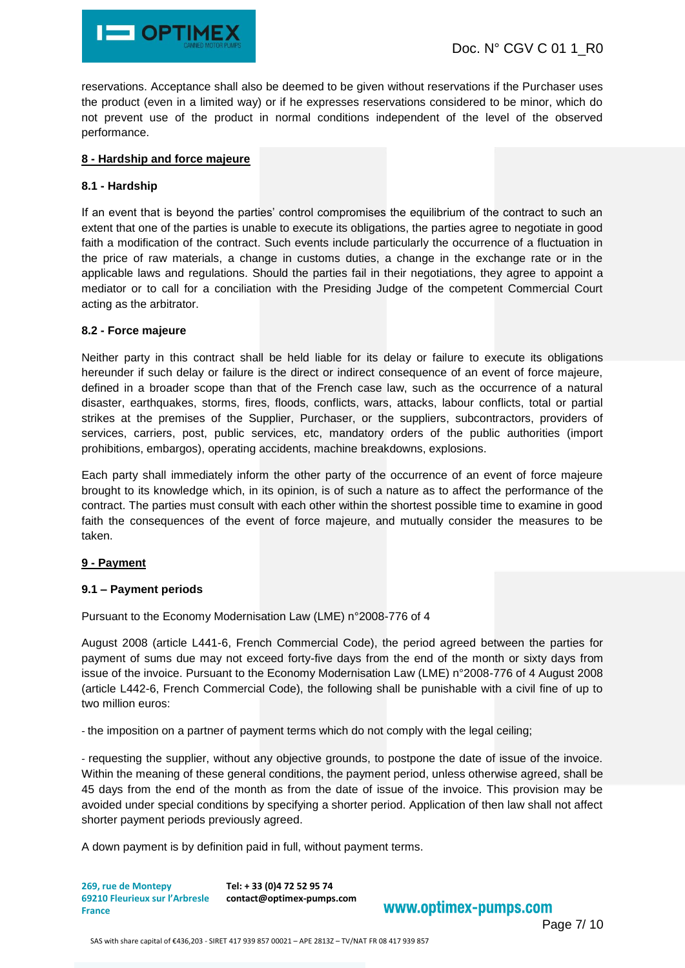

reservations. Acceptance shall also be deemed to be given without reservations if the Purchaser uses the product (even in a limited way) or if he expresses reservations considered to be minor, which do not prevent use of the product in normal conditions independent of the level of the observed performance.

## **8 - Hardship and force majeure**

# **8.1 - Hardship**

If an event that is beyond the parties' control compromises the equilibrium of the contract to such an extent that one of the parties is unable to execute its obligations, the parties agree to negotiate in good faith a modification of the contract. Such events include particularly the occurrence of a fluctuation in the price of raw materials, a change in customs duties, a change in the exchange rate or in the applicable laws and regulations. Should the parties fail in their negotiations, they agree to appoint a mediator or to call for a conciliation with the Presiding Judge of the competent Commercial Court acting as the arbitrator.

## **8.2 - Force majeure**

Neither party in this contract shall be held liable for its delay or failure to execute its obligations hereunder if such delay or failure is the direct or indirect consequence of an event of force majeure, defined in a broader scope than that of the French case law, such as the occurrence of a natural disaster, earthquakes, storms, fires, floods, conflicts, wars, attacks, labour conflicts, total or partial strikes at the premises of the Supplier, Purchaser, or the suppliers, subcontractors, providers of services, carriers, post, public services, etc, mandatory orders of the public authorities (import prohibitions, embargos), operating accidents, machine breakdowns, explosions.

Each party shall immediately inform the other party of the occurrence of an event of force majeure brought to its knowledge which, in its opinion, is of such a nature as to affect the performance of the contract. The parties must consult with each other within the shortest possible time to examine in good faith the consequences of the event of force majeure, and mutually consider the measures to be taken.

# **9 - Payment**

# **9.1 – Payment periods**

Pursuant to the Economy Modernisation Law (LME) n°2008-776 of 4

August 2008 (article L441-6, French Commercial Code), the period agreed between the parties for payment of sums due may not exceed forty-five days from the end of the month or sixty days from issue of the invoice. Pursuant to the Economy Modernisation Law (LME) n°2008-776 of 4 August 2008 (article L442-6, French Commercial Code), the following shall be punishable with a civil fine of up to two million euros:

- the imposition on a partner of payment terms which do not comply with the legal ceiling;

- requesting the supplier, without any objective grounds, to postpone the date of issue of the invoice. Within the meaning of these general conditions, the payment period, unless otherwise agreed, shall be 45 days from the end of the month as from the date of issue of the invoice. This provision may be avoided under special conditions by specifying a shorter period. Application of then law shall not affect shorter payment periods previously agreed.

A down payment is by definition paid in full, without payment terms.

**269, rue de Montepy 69210 Fleurieux sur l'Arbresle contact@optimex-pumps.com France Tel: + 33 (0)4 72 52 95 74**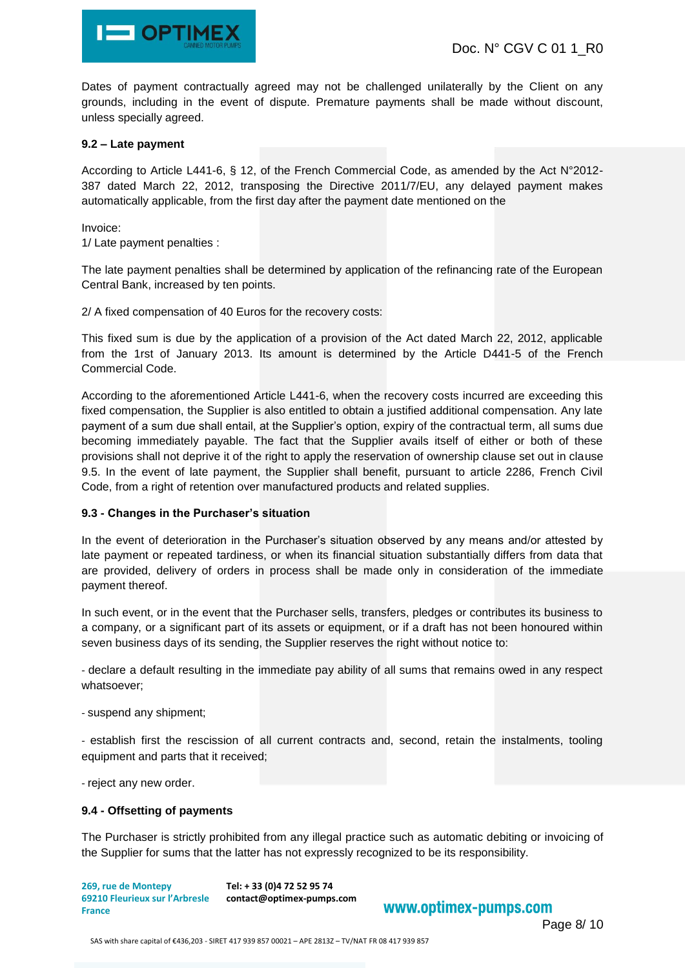

Dates of payment contractually agreed may not be challenged unilaterally by the Client on any grounds, including in the event of dispute. Premature payments shall be made without discount, unless specially agreed.

### **9.2 – Late payment**

According to Article L441-6, § 12, of the French Commercial Code, as amended by the Act N°2012- 387 dated March 22, 2012, transposing the Directive 2011/7/EU, any delayed payment makes automatically applicable, from the first day after the payment date mentioned on the

Invoice:

1/ Late payment penalties :

The late payment penalties shall be determined by application of the refinancing rate of the European Central Bank, increased by ten points.

2/ A fixed compensation of 40 Euros for the recovery costs:

This fixed sum is due by the application of a provision of the Act dated March 22, 2012, applicable from the 1rst of January 2013. Its amount is determined by the Article D441-5 of the French Commercial Code.

According to the aforementioned Article L441-6, when the recovery costs incurred are exceeding this fixed compensation, the Supplier is also entitled to obtain a justified additional compensation. Any late payment of a sum due shall entail, at the Supplier's option, expiry of the contractual term, all sums due becoming immediately payable. The fact that the Supplier avails itself of either or both of these provisions shall not deprive it of the right to apply the reservation of ownership clause set out in clause 9.5. In the event of late payment, the Supplier shall benefit, pursuant to article 2286, French Civil Code, from a right of retention over manufactured products and related supplies.

#### **9.3 - Changes in the Purchaser's situation**

In the event of deterioration in the Purchaser's situation observed by any means and/or attested by late payment or repeated tardiness, or when its financial situation substantially differs from data that are provided, delivery of orders in process shall be made only in consideration of the immediate payment thereof.

In such event, or in the event that the Purchaser sells, transfers, pledges or contributes its business to a company, or a significant part of its assets or equipment, or if a draft has not been honoured within seven business days of its sending, the Supplier reserves the right without notice to:

- declare a default resulting in the immediate pay ability of all sums that remains owed in any respect whatsoever;

- suspend any shipment;

- establish first the rescission of all current contracts and, second, retain the instalments, tooling equipment and parts that it received;

- reject any new order.

# **9.4 - Offsetting of payments**

The Purchaser is strictly prohibited from any illegal practice such as automatic debiting or invoicing of the Supplier for sums that the latter has not expressly recognized to be its responsibility.

**269, rue de Montepy 69210 Fleurieux sur l'Arbresle contact@optimex-pumps.com France Tel: + 33 (0)4 72 52 95 74**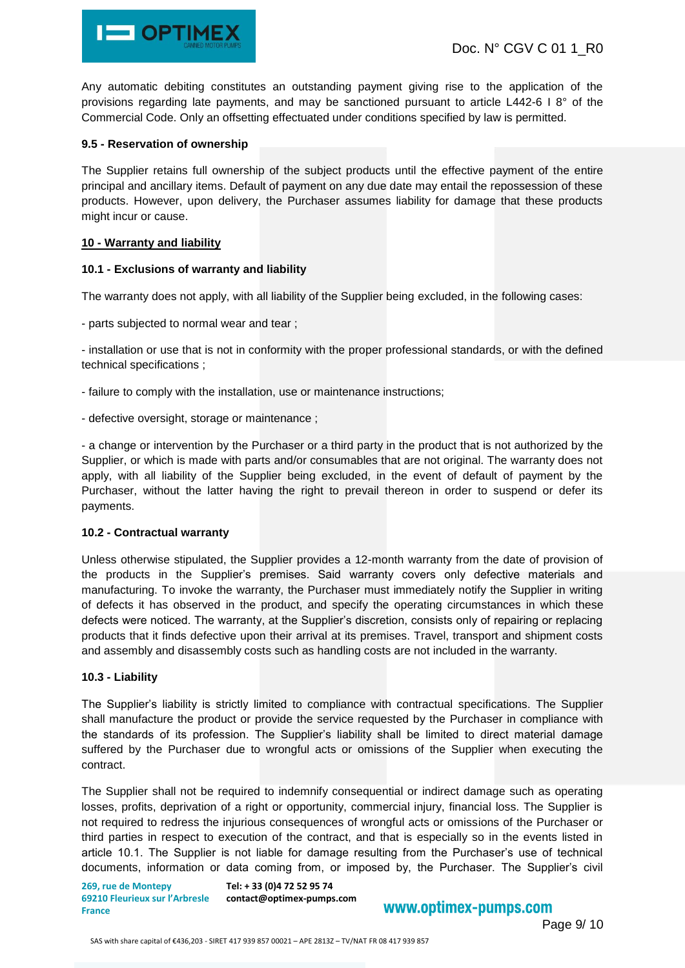

Any automatic debiting constitutes an outstanding payment giving rise to the application of the provisions regarding late payments, and may be sanctioned pursuant to article L442-6 I 8° of the Commercial Code. Only an offsetting effectuated under conditions specified by law is permitted.

### **9.5 - Reservation of ownership**

The Supplier retains full ownership of the subject products until the effective payment of the entire principal and ancillary items. Default of payment on any due date may entail the repossession of these products. However, upon delivery, the Purchaser assumes liability for damage that these products might incur or cause.

#### **10 - Warranty and liability**

## **10.1 - Exclusions of warranty and liability**

The warranty does not apply, with all liability of the Supplier being excluded, in the following cases:

- parts subjected to normal wear and tear ;

- installation or use that is not in conformity with the proper professional standards, or with the defined technical specifications ;

- failure to comply with the installation, use or maintenance instructions;
- defective oversight, storage or maintenance ;

- a change or intervention by the Purchaser or a third party in the product that is not authorized by the Supplier, or which is made with parts and/or consumables that are not original. The warranty does not apply, with all liability of the Supplier being excluded, in the event of default of payment by the Purchaser, without the latter having the right to prevail thereon in order to suspend or defer its payments.

#### **10.2 - Contractual warranty**

Unless otherwise stipulated, the Supplier provides a 12-month warranty from the date of provision of the products in the Supplier's premises. Said warranty covers only defective materials and manufacturing. To invoke the warranty, the Purchaser must immediately notify the Supplier in writing of defects it has observed in the product, and specify the operating circumstances in which these defects were noticed. The warranty, at the Supplier's discretion, consists only of repairing or replacing products that it finds defective upon their arrival at its premises. Travel, transport and shipment costs and assembly and disassembly costs such as handling costs are not included in the warranty.

#### **10.3 - Liability**

The Supplier's liability is strictly limited to compliance with contractual specifications. The Supplier shall manufacture the product or provide the service requested by the Purchaser in compliance with the standards of its profession. The Supplier's liability shall be limited to direct material damage suffered by the Purchaser due to wrongful acts or omissions of the Supplier when executing the contract.

The Supplier shall not be required to indemnify consequential or indirect damage such as operating losses, profits, deprivation of a right or opportunity, commercial injury, financial loss. The Supplier is not required to redress the injurious consequences of wrongful acts or omissions of the Purchaser or third parties in respect to execution of the contract, and that is especially so in the events listed in article 10.1. The Supplier is not liable for damage resulting from the Purchaser's use of technical documents, information or data coming from, or imposed by, the Purchaser. The Supplier's civil

**269, rue de Montepy 69210 Fleurieux sur l'Arbresle France**

**Tel: + 33 (0)4 72 52 95 74 contact@optimex-pumps.com**